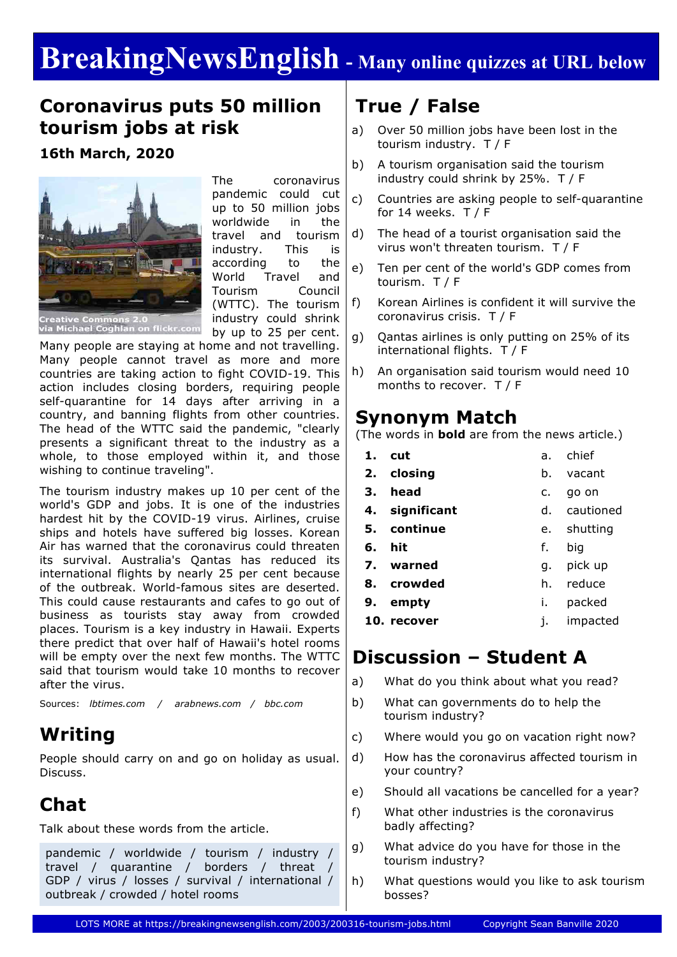# **BreakingNewsEnglish - Many online quizzes at URL below**

### **Coronavirus puts 50 million tourism jobs at risk**

**16th March, 2020**



The coronavirus pandemic could cut up to 50 million jobs worldwide in the travel and tourism industry. This is according to the World Travel and Tourism Council (WTTC). The tourism industry could shrink by up to 25 per cent.

Many people are staying at home and not travelling. Many people cannot travel as more and more countries are taking action to fight COVID-19. This action includes closing borders, requiring people self-quarantine for 14 days after arriving in a country, and banning flights from other countries. The head of the WTTC said the pandemic, "clearly presents a significant threat to the industry as a whole, to those employed within it, and those wishing to continue traveling".

The tourism industry makes up 10 per cent of the world's GDP and jobs. It is one of the industries hardest hit by the COVID-19 virus. Airlines, cruise ships and hotels have suffered big losses. Korean Air has warned that the coronavirus could threaten its survival. Australia's Qantas has reduced its international flights by nearly 25 per cent because of the outbreak. World-famous sites are deserted. This could cause restaurants and cafes to go out of business as tourists stay away from crowded places. Tourism is a key industry in Hawaii. Experts there predict that over half of Hawaii's hotel rooms will be empty over the next few months. The WTTC said that tourism would take 10 months to recover after the virus.

Sources: *lbtimes.com / arabnews.com / bbc.com*

## **Writing**

People should carry on and go on holiday as usual. Discuss.

## **Chat**

Talk about these words from the article.

pandemic / worldwide / tourism / industry / travel / quarantine / borders / threat / GDP / virus / losses / survival / international / outbreak / crowded / hotel rooms

# **True / False**

- a) Over 50 million jobs have been lost in the tourism industry. T / F
- b) A tourism organisation said the tourism industry could shrink by 25%. T / F
- c) Countries are asking people to self-quarantine for 14 weeks.  $T / F$
- d) The head of a tourist organisation said the virus won't threaten tourism. T / F
- e) Ten per cent of the world's GDP comes from tourism. T / F
- f) Korean Airlines is confident it will survive the coronavirus crisis. T / F
- g) Qantas airlines is only putting on 25% of its international flights. T / F
- h) An organisation said tourism would need 10 months to recover. T / F

### **Synonym Match**

(The words in **bold** are from the news article.)

| 1. | <b>cut</b>  | a. | chief     |
|----|-------------|----|-----------|
|    | 2. closing  | b. | vacant    |
| З. | head        | c. | go on     |
| 4. | significant | d. | cautioned |
|    | 5. continue | e. | shutting  |
| 6. | hit         | f. | big       |
|    |             |    |           |
| 7. | warned      | q. | pick up   |
| 8. | crowded     | h. | reduce    |
| 9. | empty       | i. | packed    |

### **Discussion – Student A**

- a) What do you think about what you read?
- b) What can governments do to help the tourism industry?
- c) Where would you go on vacation right now?
- d) How has the coronavirus affected tourism in your country?
- e) Should all vacations be cancelled for a year?
- f) What other industries is the coronavirus badly affecting?
- g) What advice do you have for those in the tourism industry?
- h) What questions would you like to ask tourism bosses?